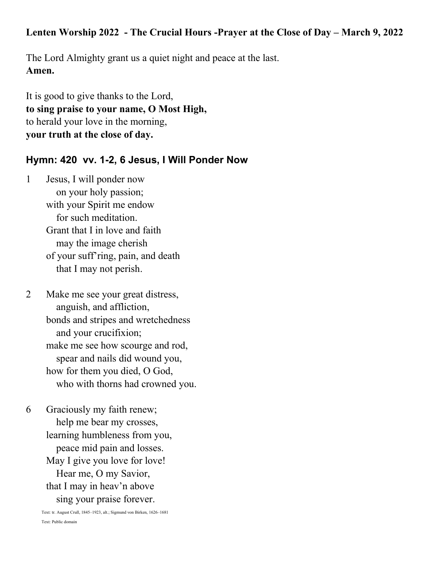#### Lenten Worship 2022 - The Crucial Hours -Prayer at the Close of Day – March 9, 2022

The Lord Almighty grant us a quiet night and peace at the last. **Amen.**

It is good to give thanks to the Lord, **to sing praise to your name, O Most High,** to herald your love in the morning, **your truth at the close of day.**

#### **Hymn: 420 vv. 1-2, 6 Jesus, I Will Ponder Now**

1 Jesus, I will ponder now on your holy passion; with your Spirit me endow for such meditation. Grant that I in love and faith may the image cherish of your suff'ring, pain, and death that I may not perish.

2 Make me see your great distress, anguish, and affliction, bonds and stripes and wretchedness and your crucifixion; make me see how scourge and rod, spear and nails did wound you, how for them you died, O God, who with thorns had crowned you.

6 Graciously my faith renew; help me bear my crosses, learning humbleness from you, peace mid pain and losses. May I give you love for love! Hear me, O my Savior, that I may in heav'n above sing your praise forever.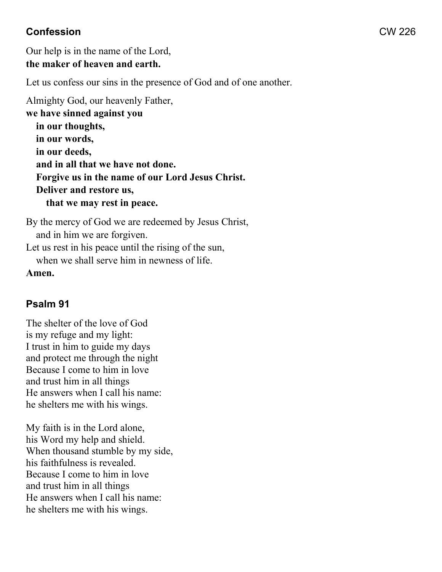## **Confession** CW 226

Our help is in the name of the Lord, **the maker of heaven and earth.**

Let us confess our sins in the presence of God and of one another.

Almighty God, our heavenly Father, **we have sinned against you in our thoughts, in our words, in our deeds, and in all that we have not done. Forgive us in the name of our Lord Jesus Christ. Deliver and restore us, that we may rest in peace.**

By the mercy of God we are redeemed by Jesus Christ, and in him we are forgiven. Let us rest in his peace until the rising of the sun,

when we shall serve him in newness of life.

**Amen.**

## **Psalm 91**

The shelter of the love of God is my refuge and my light: I trust in him to guide my days and protect me through the night Because I come to him in love and trust him in all things He answers when I call his name: he shelters me with his wings.

My faith is in the Lord alone, his Word my help and shield. When thousand stumble by my side, his faithfulness is revealed. Because I come to him in love and trust him in all things He answers when I call his name: he shelters me with his wings.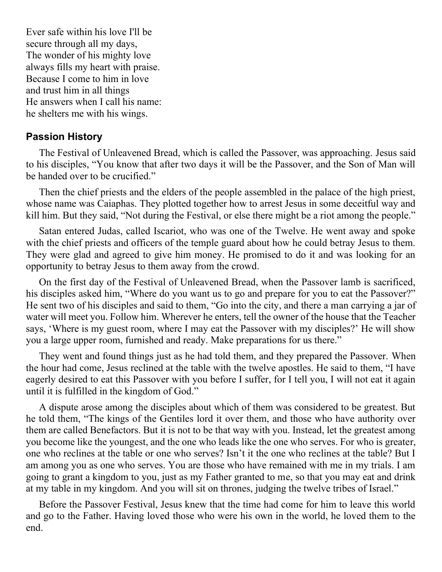Ever safe within his love I'll be secure through all my days, The wonder of his mighty love always fills my heart with praise. Because I come to him in love and trust him in all things He answers when I call his name: he shelters me with his wings.

#### **Passion History**

The Festival of Unleavened Bread, which is called the Passover, was approaching. Jesus said to his disciples, "You know that after two days it will be the Passover, and the Son of Man will be handed over to be crucified."

Then the chief priests and the elders of the people assembled in the palace of the high priest, whose name was Caiaphas. They plotted together how to arrest Jesus in some deceitful way and kill him. But they said, "Not during the Festival, or else there might be a riot among the people."

Satan entered Judas, called Iscariot, who was one of the Twelve. He went away and spoke with the chief priests and officers of the temple guard about how he could betray Jesus to them. They were glad and agreed to give him money. He promised to do it and was looking for an opportunity to betray Jesus to them away from the crowd.

On the first day of the Festival of Unleavened Bread, when the Passover lamb is sacrificed, his disciples asked him, "Where do you want us to go and prepare for you to eat the Passover?" He sent two of his disciples and said to them, "Go into the city, and there a man carrying a jar of water will meet you. Follow him. Wherever he enters, tell the owner of the house that the Teacher says, 'Where is my guest room, where I may eat the Passover with my disciples?' He will show you a large upper room, furnished and ready. Make preparations for us there."

They went and found things just as he had told them, and they prepared the Passover. When the hour had come, Jesus reclined at the table with the twelve apostles. He said to them, "I have eagerly desired to eat this Passover with you before I suffer, for I tell you, I will not eat it again until it is fulfilled in the kingdom of God."

A dispute arose among the disciples about which of them was considered to be greatest. But he told them, "The kings of the Gentiles lord it over them, and those who have authority over them are called Benefactors. But it is not to be that way with you. Instead, let the greatest among you become like the youngest, and the one who leads like the one who serves. For who is greater, one who reclines at the table or one who serves? Isn't it the one who reclines at the table? But I am among you as one who serves. You are those who have remained with me in my trials. I am going to grant a kingdom to you, just as my Father granted to me, so that you may eat and drink at my table in my kingdom. And you will sit on thrones, judging the twelve tribes of Israel."

Before the Passover Festival, Jesus knew that the time had come for him to leave this world and go to the Father. Having loved those who were his own in the world, he loved them to the end.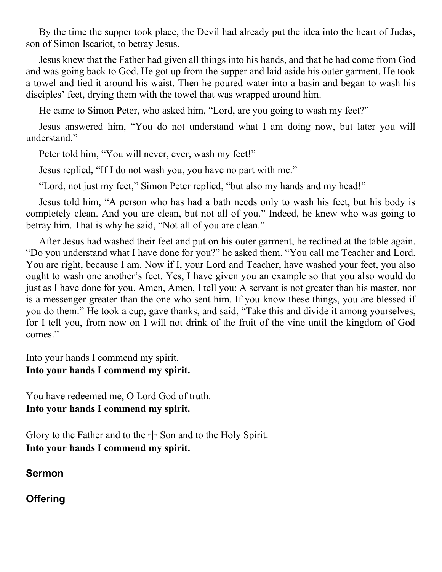By the time the supper took place, the Devil had already put the idea into the heart of Judas, son of Simon Iscariot, to betray Jesus.

Jesus knew that the Father had given all things into his hands, and that he had come from God and was going back to God. He got up from the supper and laid aside his outer garment. He took a towel and tied it around his waist. Then he poured water into a basin and began to wash his disciples' feet, drying them with the towel that was wrapped around him.

He came to Simon Peter, who asked him, "Lord, are you going to wash my feet?"

Jesus answered him, "You do not understand what I am doing now, but later you will understand."

Peter told him, "You will never, ever, wash my feet!"

Jesus replied, "If I do not wash you, you have no part with me."

"Lord, not just my feet," Simon Peter replied, "but also my hands and my head!"

Jesus told him, "A person who has had a bath needs only to wash his feet, but his body is completely clean. And you are clean, but not all of you." Indeed, he knew who was going to betray him. That is why he said, "Not all of you are clean."

After Jesus had washed their feet and put on his outer garment, he reclined at the table again. "Do you understand what I have done for you?" he asked them. "You call me Teacher and Lord. You are right, because I am. Now if I, your Lord and Teacher, have washed your feet, you also ought to wash one another's feet. Yes, I have given you an example so that you also would do just as I have done for you. Amen, Amen, I tell you: A servant is not greater than his master, nor is a messenger greater than the one who sent him. If you know these things, you are blessed if you do them." He took a cup, gave thanks, and said, "Take this and divide it among yourselves, for I tell you, from now on I will not drink of the fruit of the vine until the kingdom of God comes."

Into your hands I commend my spirit.

## **Into your hands I commend my spirit.**

You have redeemed me, O Lord God of truth. **Into your hands I commend my spirit.** 

Glory to the Father and to the  $+$  Son and to the Holy Spirit. **Into your hands I commend my spirit.**

**Sermon**

**Offering**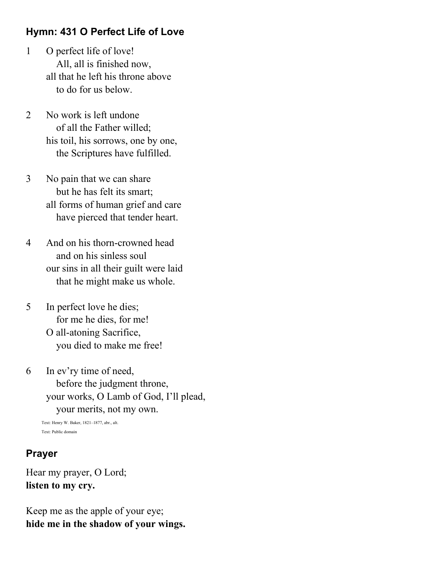## **Hymn: 431 O Perfect Life of Love**

- 1 O perfect life of love! All, all is finished now, all that he left his throne above to do for us below.
- 2 No work is left undone of all the Father willed; his toil, his sorrows, one by one, the Scriptures have fulfilled.
- 3 No pain that we can share but he has felt its smart; all forms of human grief and care have pierced that tender heart.
- 4 And on his thorn-crowned head and on his sinless soul our sins in all their guilt were laid that he might make us whole.
- 5 In perfect love he dies; for me he dies, for me! O all-atoning Sacrifice, you died to make me free!
- 6 In ev'ry time of need, before the judgment throne, your works, O Lamb of God, I'll plead, your merits, not my own.

```
Text: Henry W. Baker, 1821–1877, abr., alt.
Text: Public domain
```
#### **Prayer**

Hear my prayer, O Lord; **listen to my cry.** 

Keep me as the apple of your eye; **hide me in the shadow of your wings.**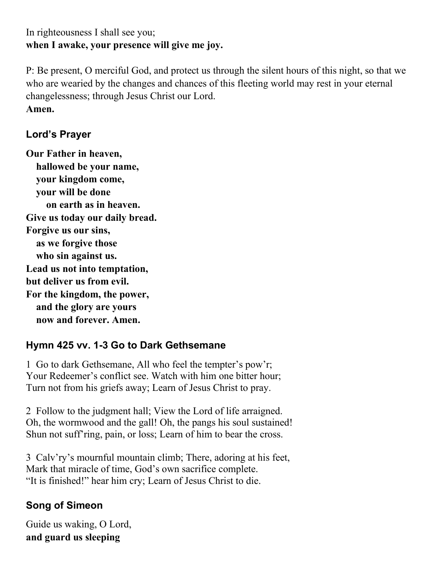## In righteousness I shall see you; **when I awake, your presence will give me joy.**

P: Be present, O merciful God, and protect us through the silent hours of this night, so that we who are wearied by the changes and chances of this fleeting world may rest in your eternal changelessness; through Jesus Christ our Lord. **Amen.**

# **Lord's Prayer**

**Our Father in heaven, hallowed be your name, your kingdom come, your will be done on earth as in heaven. Give us today our daily bread. Forgive us our sins, as we forgive those who sin against us. Lead us not into temptation, but deliver us from evil. For the kingdom, the power, and the glory are yours now and forever. Amen.**

## **Hymn 425 vv. 1-3 Go to Dark Gethsemane**

1 Go to dark Gethsemane, All who feel the tempter's pow'r; Your Redeemer's conflict see. Watch with him one bitter hour; Turn not from his griefs away; Learn of Jesus Christ to pray.

2 Follow to the judgment hall; View the Lord of life arraigned. Oh, the wormwood and the gall! Oh, the pangs his soul sustained! Shun not suff'ring, pain, or loss; Learn of him to bear the cross.

3 Calv'ry's mournful mountain climb; There, adoring at his feet, Mark that miracle of time, God's own sacrifice complete. "It is finished!" hear him cry; Learn of Jesus Christ to die.

## **Song of Simeon**

Guide us waking, O Lord, **and guard us sleeping**